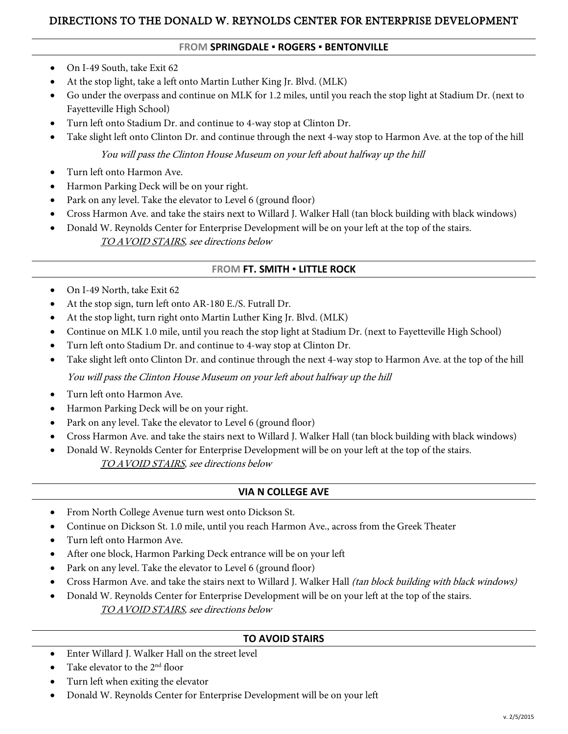## DIRECTIONS TO THE DONALD W. REYNOLDS CENTER FOR ENTERPRISE DEVELOPMENT

#### **FROM SPRINGDALE ▪ ROGERS ▪ BENTONVILLE**

- On I-49 South, take Exit 62
- At the stop light, take a left onto Martin Luther King Jr. Blvd. (MLK)
- Go under the overpass and continue on MLK for 1.2 miles, until you reach the stop light at Stadium Dr. (next to Fayetteville High School)
- Turn left onto Stadium Dr. and continue to 4-way stop at Clinton Dr.
- Take slight left onto Clinton Dr. and continue through the next 4-way stop to Harmon Ave. at the top of the hill

You will pass the Clinton House Museum on your left about halfway up the hill

- Turn left onto Harmon Ave.
- Harmon Parking Deck will be on your right.
- Park on any level. Take the elevator to Level 6 (ground floor)
- Cross Harmon Ave. and take the stairs next to Willard J. Walker Hall (tan block building with black windows)
- Donald W. Reynolds Center for Enterprise Development will be on your left at the top of the stairs.
	- TO AVOID STAIRS, see directions below

### **FROM FT. SMITH ▪ LITTLE ROCK**

- On I-49 North, take Exit 62
- At the stop sign, turn left onto AR-180 E./S. Futrall Dr.
- At the stop light, turn right onto Martin Luther King Jr. Blvd. (MLK)
- Continue on MLK 1.0 mile, until you reach the stop light at Stadium Dr. (next to Fayetteville High School)
- Turn left onto Stadium Dr. and continue to 4-way stop at Clinton Dr.
- Take slight left onto Clinton Dr. and continue through the next 4-way stop to Harmon Ave. at the top of the hill

You will pass the Clinton House Museum on your left about halfway up the hill

- Turn left onto Harmon Ave.
- Harmon Parking Deck will be on your right.
- Park on any level. Take the elevator to Level 6 (ground floor)
- Cross Harmon Ave. and take the stairs next to Willard J. Walker Hall (tan block building with black windows)
- Donald W. Reynolds Center for Enterprise Development will be on your left at the top of the stairs.

TO AVOID STAIRS, see directions below

#### **VIA N COLLEGE AVE**

- From North College Avenue turn west onto Dickson St.
- Continue on Dickson St. 1.0 mile, until you reach Harmon Ave., across from the Greek Theater
- Turn left onto Harmon Ave.
- After one block, Harmon Parking Deck entrance will be on your left
- Park on any level. Take the elevator to Level 6 (ground floor)
- Cross Harmon Ave. and take the stairs next to Willard J. Walker Hall (tan block building with black windows)
- Donald W. Reynolds Center for Enterprise Development will be on your left at the top of the stairs. TO AVOID STAIRS, see directions below

#### **TO AVOID STAIRS**

- Enter Willard J. Walker Hall on the street level
- Take elevator to the 2<sup>nd</sup> floor
- Turn left when exiting the elevator
- Donald W. Reynolds Center for Enterprise Development will be on your left